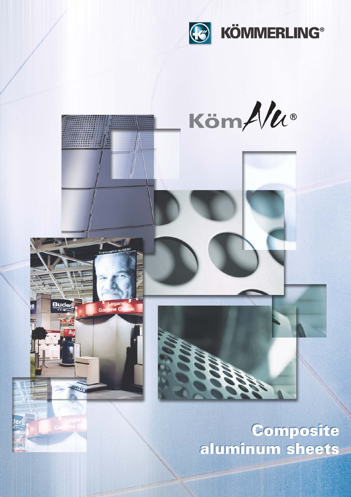



ler

**Composite** aluminum sheets aluminum sheets